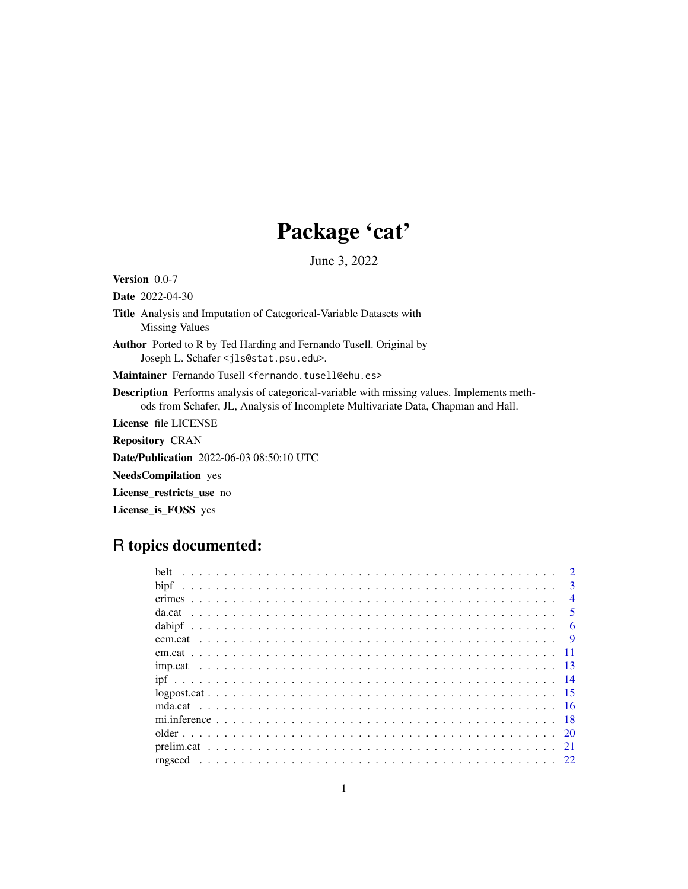# Package 'cat'

June 3, 2022

Version 0.0-7

Date 2022-04-30

- Title Analysis and Imputation of Categorical-Variable Datasets with Missing Values
- Author Ported to R by Ted Harding and Fernando Tusell. Original by Joseph L. Schafer <jls@stat.psu.edu>.

Maintainer Fernando Tusell <fernando.tusell@ehu.es>

Description Performs analysis of categorical-variable with missing values. Implements methods from Schafer, JL, Analysis of Incomplete Multivariate Data, Chapman and Hall.

License file LICENSE

Repository CRAN

Date/Publication 2022-06-03 08:50:10 UTC

NeedsCompilation yes

License\_restricts\_use no

License\_is\_FOSS yes

# R topics documented:

| helt    |                         |
|---------|-------------------------|
|         | $\mathcal{R}$           |
|         | $\overline{4}$          |
|         | $\overline{\mathbf{5}}$ |
|         | -6                      |
| ecm.cat | $\mathbf{Q}$            |
|         |                         |
|         |                         |
|         |                         |
|         |                         |
|         |                         |
|         |                         |
|         |                         |
|         | 21                      |
|         |                         |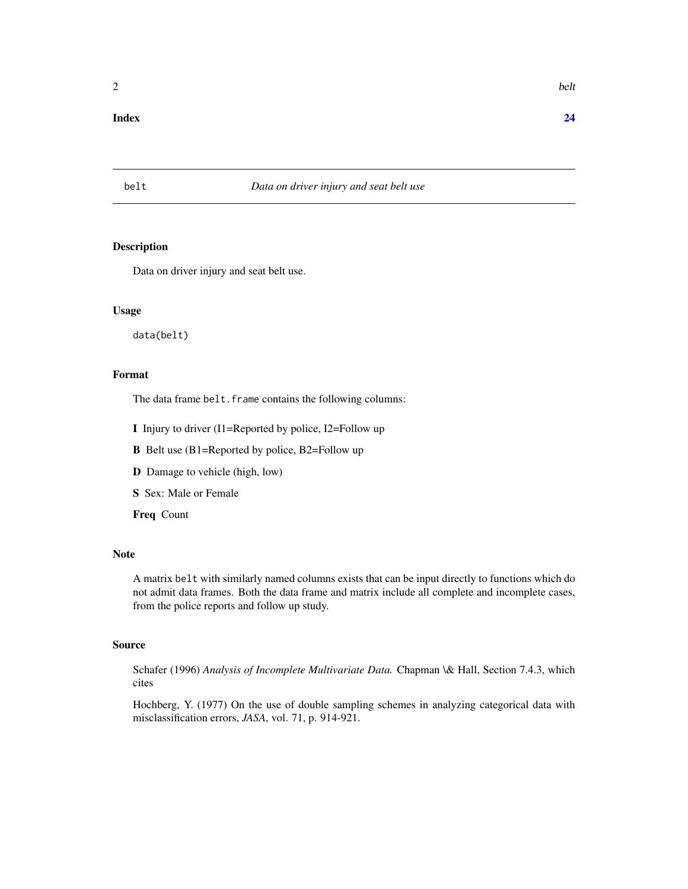#### <span id="page-1-0"></span>**Index** [24](#page-23-0)

# belt *Data on driver injury and seat belt use*

# Description

Data on driver injury and seat belt use.

#### Usage

data(belt)

# Format

The data frame belt. frame contains the following columns:

I Injury to driver (I1=Reported by police, I2=Follow up

B Belt use (B1=Reported by police, B2=Follow up

- D Damage to vehicle (high, low)
- S Sex: Male or Female

Freq Count

# Note

A matrix belt with similarly named columns exists that can be input directly to functions which do not admit data frames. Both the data frame and matrix include all complete and incomplete cases, from the police reports and follow up study.

#### Source

Schafer (1996) *Analysis of Incomplete Multivariate Data.* Chapman \& Hall, Section 7.4.3, which cites

Hochberg, Y. (1977) On the use of double sampling schemes in analyzing categorical data with misclassification errors, *JASA*, vol. 71, p. 914-921.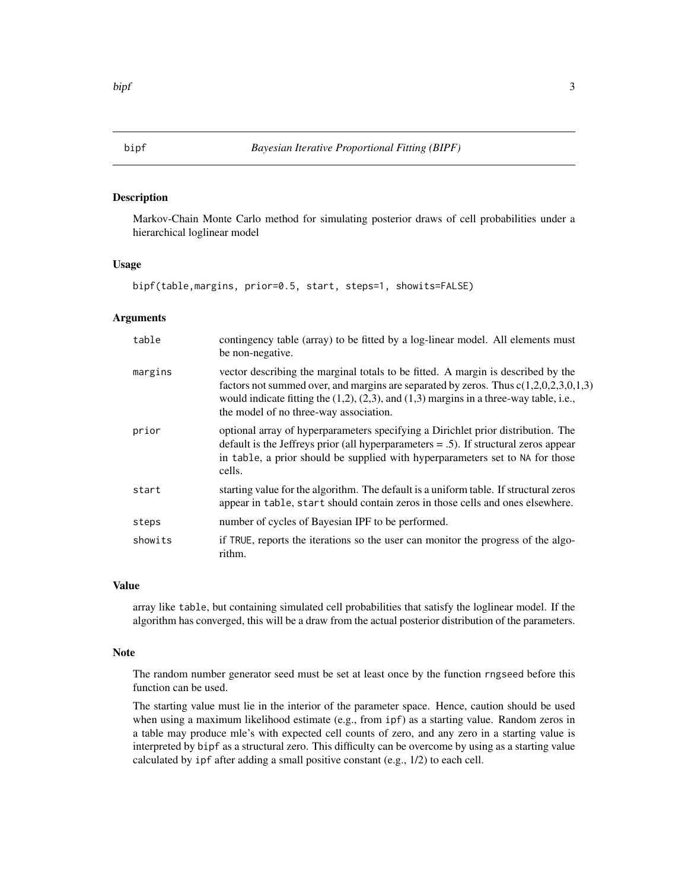<span id="page-2-1"></span><span id="page-2-0"></span>

# Description

Markov-Chain Monte Carlo method for simulating posterior draws of cell probabilities under a hierarchical loglinear model

#### Usage

```
bipf(table,margins, prior=0.5, start, steps=1, showits=FALSE)
```
# Arguments

| table   | contingency table (array) to be fitted by a log-linear model. All elements must<br>be non-negative.                                                                                                                                                                                                                    |
|---------|------------------------------------------------------------------------------------------------------------------------------------------------------------------------------------------------------------------------------------------------------------------------------------------------------------------------|
| margins | vector describing the marginal totals to be fitted. A margin is described by the<br>factors not summed over, and margins are separated by zeros. Thus $c(1,2,0,2,3,0,1,3)$<br>would indicate fitting the $(1,2)$ , $(2,3)$ , and $(1,3)$ margins in a three-way table, i.e.,<br>the model of no three-way association. |
| prior   | optional array of hyperparameters specifying a Dirichlet prior distribution. The<br>default is the Jeffreys prior (all hyperparameters $= .5$ ). If structural zeros appear<br>in table, a prior should be supplied with hyperparameters set to NA for those<br>cells.                                                 |
| start   | starting value for the algorithm. The default is a uniform table. If structural zeros<br>appear in table, start should contain zeros in those cells and ones elsewhere.                                                                                                                                                |
| steps   | number of cycles of Bayesian IPF to be performed.                                                                                                                                                                                                                                                                      |
| showits | if TRUE, reports the iterations so the user can monitor the progress of the algo-<br>rithm.                                                                                                                                                                                                                            |

#### Value

array like table, but containing simulated cell probabilities that satisfy the loglinear model. If the algorithm has converged, this will be a draw from the actual posterior distribution of the parameters.

#### Note

The random number generator seed must be set at least once by the function rngseed before this function can be used.

The starting value must lie in the interior of the parameter space. Hence, caution should be used when using a maximum likelihood estimate (e.g., from ipf) as a starting value. Random zeros in a table may produce mle's with expected cell counts of zero, and any zero in a starting value is interpreted by bipf as a structural zero. This difficulty can be overcome by using as a starting value calculated by ipf after adding a small positive constant (e.g., 1/2) to each cell.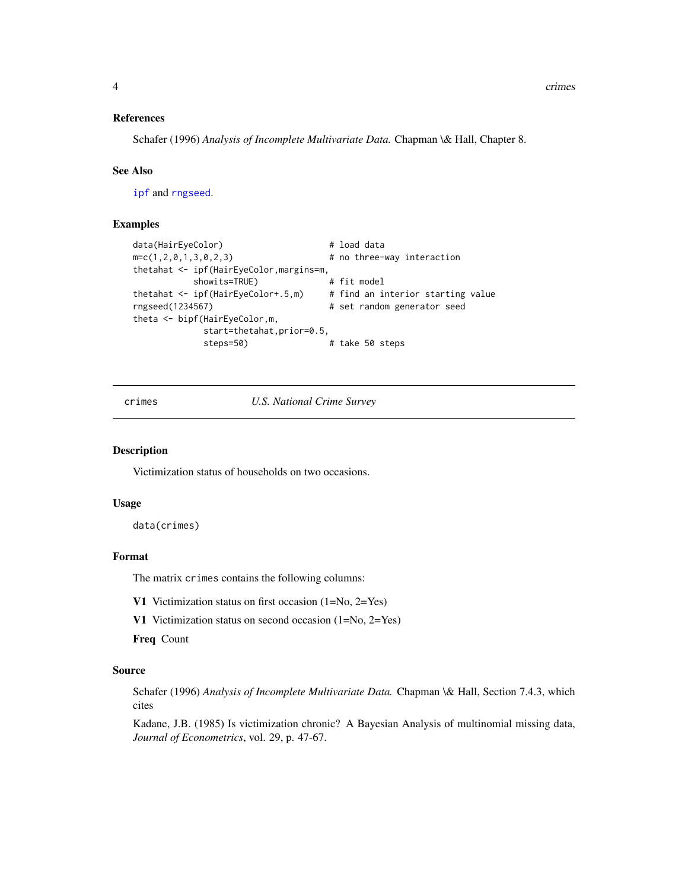<span id="page-3-0"></span>4 crimes and the crimes of the crimes of the crimes of the crimes of the crimes of the crimes of the crimes of the crimes of the crimes of the crimes of the crimes of the crimes of the crimes of the crimes of the crimes of

#### References

Schafer (1996) *Analysis of Incomplete Multivariate Data.* Chapman \& Hall, Chapter 8.

#### See Also

[ipf](#page-13-1) and [rngseed](#page-21-1).

# Examples

```
data(HairEyeColor) # load data
m=c(1,2,0,1,3,0,2,3) # no three-way interaction
thetahat <- ipf(HairEyeColor,margins=m,
         showits=TRUE) # fit model
thetahat <- ipf(HairEyeColor+.5,m) # find an interior starting value
rngseed(1234567) # set random generator seed
theta <- bipf(HairEyeColor,m,
           start=thetahat,prior=0.5,
           steps=50) # take 50 steps
```
crimes *U.S. National Crime Survey*

# Description

Victimization status of households on two occasions.

#### Usage

data(crimes)

#### Format

The matrix crimes contains the following columns:

V1 Victimization status on first occasion (1=No, 2=Yes)

V1 Victimization status on second occasion (1=No, 2=Yes)

Freq Count

#### Source

Schafer (1996) *Analysis of Incomplete Multivariate Data.* Chapman \& Hall, Section 7.4.3, which cites

Kadane, J.B. (1985) Is victimization chronic? A Bayesian Analysis of multinomial missing data, *Journal of Econometrics*, vol. 29, p. 47-67.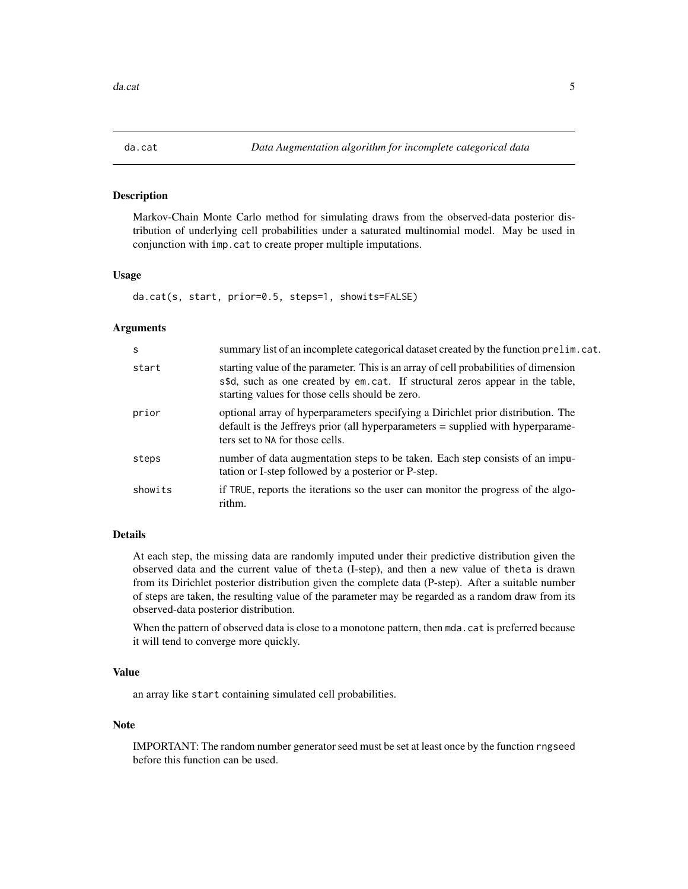<span id="page-4-1"></span><span id="page-4-0"></span>

# Description

Markov-Chain Monte Carlo method for simulating draws from the observed-data posterior distribution of underlying cell probabilities under a saturated multinomial model. May be used in conjunction with imp.cat to create proper multiple imputations.

#### Usage

da.cat(s, start, prior=0.5, steps=1, showits=FALSE)

#### Arguments

| <sub>S</sub> | summary list of an incomplete categorical dataset created by the function prelim. cat.                                                                                                                                   |
|--------------|--------------------------------------------------------------------------------------------------------------------------------------------------------------------------------------------------------------------------|
| start        | starting value of the parameter. This is an array of cell probabilities of dimension<br>s\$d, such as one created by em.cat. If structural zeros appear in the table,<br>starting values for those cells should be zero. |
| prior        | optional array of hyperparameters specifying a Dirichlet prior distribution. The<br>default is the Jeffreys prior (all hyperparameters = supplied with hyperparame-<br>ters set to NA for those cells.                   |
| steps        | number of data augmentation steps to be taken. Each step consists of an impu-<br>tation or I-step followed by a posterior or P-step.                                                                                     |
| showits      | if TRUE, reports the iterations so the user can monitor the progress of the algo-<br>rithm.                                                                                                                              |

# Details

At each step, the missing data are randomly imputed under their predictive distribution given the observed data and the current value of theta (I-step), and then a new value of theta is drawn from its Dirichlet posterior distribution given the complete data (P-step). After a suitable number of steps are taken, the resulting value of the parameter may be regarded as a random draw from its observed-data posterior distribution.

When the pattern of observed data is close to a monotone pattern, then mda.cat is preferred because it will tend to converge more quickly.

# Value

an array like start containing simulated cell probabilities.

#### Note

IMPORTANT: The random number generator seed must be set at least once by the function rngseed before this function can be used.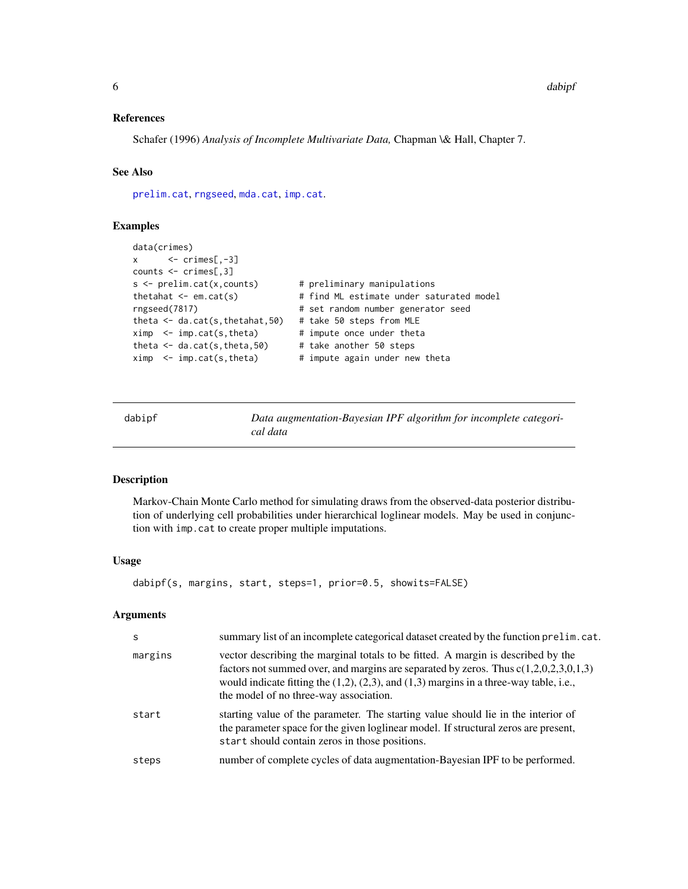#### <span id="page-5-0"></span>References

Schafer (1996) *Analysis of Incomplete Multivariate Data,* Chapman \& Hall, Chapter 7.

# See Also

[prelim.cat](#page-20-1), [rngseed](#page-21-1), [mda.cat](#page-15-1), [imp.cat](#page-12-1).

### Examples

```
data(crimes)
x \leftarrow \text{crimes}[, -3]counts <- crimes[,3]
s \le prelim.cat(x,counts) # preliminary manipulations
thetahat \leq em.cat(s) \qquad # find ML estimate under saturated model
rngseed(7817) # set random number generator seed
theta <- da.cat(s,thetahat,50) # take 50 steps from MLE
ximp <- imp.cat(s,theta) # impute once under theta
theta \leq da.cat(s, theta, 50) # take another 50 steps
ximp < - imp.cat(s, theta) # impute again under new theta
```
<span id="page-5-1"></span>dabipf *Data augmentation-Bayesian IPF algorithm for incomplete categorical data*

#### Description

Markov-Chain Monte Carlo method for simulating draws from the observed-data posterior distribution of underlying cell probabilities under hierarchical loglinear models. May be used in conjunction with imp.cat to create proper multiple imputations.

#### Usage

```
dabipf(s, margins, start, steps=1, prior=0.5, showits=FALSE)
```
#### Arguments

| S       | summary list of an incomplete categorical dataset created by the function prelim. cat.                                                                                                                                                                                                                                 |
|---------|------------------------------------------------------------------------------------------------------------------------------------------------------------------------------------------------------------------------------------------------------------------------------------------------------------------------|
| margins | vector describing the marginal totals to be fitted. A margin is described by the<br>factors not summed over, and margins are separated by zeros. Thus $c(1,2,0,2,3,0,1,3)$<br>would indicate fitting the $(1,2)$ , $(2,3)$ , and $(1,3)$ margins in a three-way table, i.e.,<br>the model of no three-way association. |
| start   | starting value of the parameter. The starting value should lie in the interior of<br>the parameter space for the given loglinear model. If structural zeros are present,<br>start should contain zeros in those positions.                                                                                             |
| steps   | number of complete cycles of data augmentation-Bayesian IPF to be performed.                                                                                                                                                                                                                                           |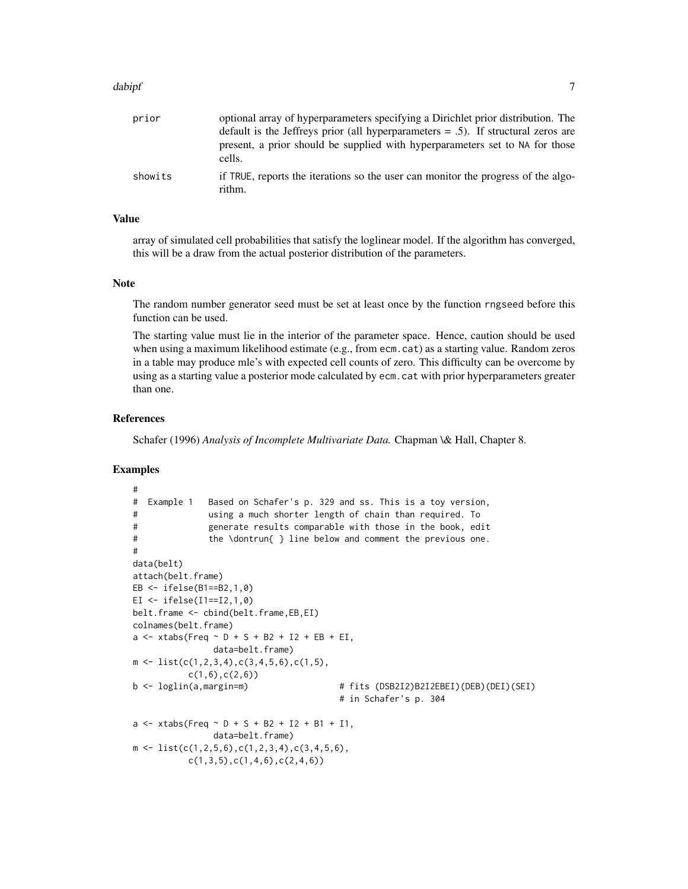#### dabipf 7 and 2008 and 2008 and 2008 and 2008 and 2008 and 2008 and 2008 and 2008 and 2008 and 2008 and 2008 and 2008 and 2008 and 2008 and 2008 and 2008 and 2008 and 2008 and 2008 and 2008 and 2008 and 2008 and 2008 and 20

| prior   | optional array of hyperparameters specifying a Dirichlet prior distribution. The            |
|---------|---------------------------------------------------------------------------------------------|
|         | default is the Jeffreys prior (all hyperparameters $= .5$ ). If structural zeros are        |
|         | present, a prior should be supplied with hyperparameters set to NA for those<br>cells.      |
| showits | if TRUE, reports the iterations so the user can monitor the progress of the algo-<br>rithm. |

### Value

array of simulated cell probabilities that satisfy the loglinear model. If the algorithm has converged, this will be a draw from the actual posterior distribution of the parameters.

#### Note

The random number generator seed must be set at least once by the function rngseed before this function can be used.

The starting value must lie in the interior of the parameter space. Hence, caution should be used when using a maximum likelihood estimate (e.g., from ecm.cat) as a starting value. Random zeros in a table may produce mle's with expected cell counts of zero. This difficulty can be overcome by using as a starting value a posterior mode calculated by ecm.cat with prior hyperparameters greater than one.

# References

Schafer (1996) *Analysis of Incomplete Multivariate Data.* Chapman \& Hall, Chapter 8.

#### Examples

```
#
# Example 1 Based on Schafer's p. 329 and ss. This is a toy version,
# using a much shorter length of chain than required. To
# generate results comparable with those in the book, edit
# the \dontrun{ } line below and comment the previous one.
#
data(belt)
attach(belt.frame)
EB <- ifelse(B1==B2,1,0)
EI \le ifelse(I1==I2,1,0)
belt.frame <- cbind(belt.frame,EB,EI)
colnames(belt.frame)
a \le - x \times \frac{1}{2} and \frac{1}{2} + S + S + B2 + I2 + EB + EI,
                 data=belt.frame)
m \leftarrow \text{list}(c(1,2,3,4),c(3,4,5,6),c(1,5),c(1,6), c(2,6)b <- loglin(a,margin=m) # fits (DSB2I2)B2I2EBEI)(DEB)(DEI)(SEI)
                                           # in Schafer's p. 304
a \le - x \times \text{tabs} (Freq \sim D + S + B2 + I2 + B1 + I1,
                data=belt.frame)
m \leftarrow \text{list}(c(1, 2, 5, 6), c(1, 2, 3, 4), c(3, 4, 5, 6),c(1,3,5), c(1,4,6), c(2,4,6))
```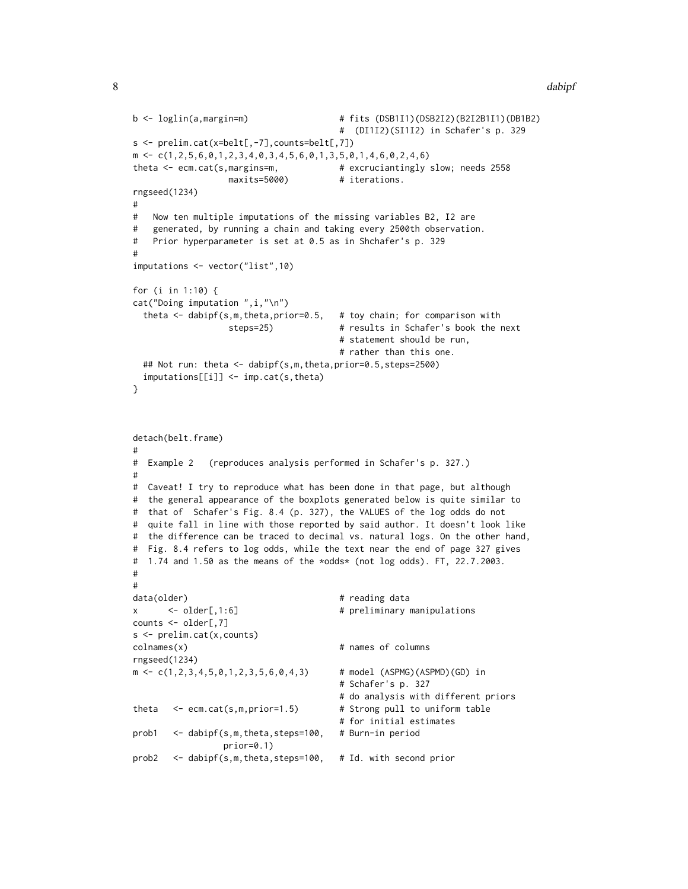```
b <- loglin(a,margin=m) # fits (DSB1I1)(DSB2I2)(B2I2B1I1)(DB1B2)
                                       # (DI1I2)(SI1I2) in Schafer's p. 329
s <- prelim.cat(x=belt[,-7],counts=belt[,7])
m \leftarrow c(1, 2, 5, 6, 0, 1, 2, 3, 4, 0, 3, 4, 5, 6, 0, 1, 3, 5, 0, 1, 4, 6, 0, 2, 4, 6)theta <- ecm.cat(s,margins=m, \qquad # excruciantingly slow; needs 2558
                  maxits=5000) # iterations.
rngseed(1234)
#
# Now ten multiple imputations of the missing variables B2, I2 are
# generated, by running a chain and taking every 2500th observation.
# Prior hyperparameter is set at 0.5 as in Shchafer's p. 329
#
imputations <- vector("list",10)
for (i in 1:10) {
cat("Doing imputation ",i,"\n")
  theta <- dabipf(s,m,theta,prior=0.5, # toy chain; for comparison with
                  steps=25) # results in Schafer's book the next
                                       # statement should be run,
                                       # rather than this one.
 ## Not run: theta <- dabipf(s,m,theta,prior=0.5,steps=2500)
 imputations[[i]] <- imp.cat(s,theta)
}
detach(belt.frame)
#
# Example 2 (reproduces analysis performed in Schafer's p. 327.)
#
# Caveat! I try to reproduce what has been done in that page, but although
# the general appearance of the boxplots generated below is quite similar to
# that of Schafer's Fig. 8.4 (p. 327), the VALUES of the log odds do not
# quite fall in line with those reported by said author. It doesn't look like
# the difference can be traced to decimal vs. natural logs. On the other hand,
# Fig. 8.4 refers to log odds, while the text near the end of page 327 gives
# 1.74 and 1.50 as the means of the *odds* (not log odds). FT, 22.7.2003.
#
#
data(older) # reading data
x <- older[,1:6] # preliminary manipulations
counts <- older[,7]
s <- prelim.cat(x,counts)
colnames(x) # names of columns
rngseed(1234)
m \leftarrow c(1, 2, 3, 4, 5, 0, 1, 2, 3, 5, 6, 0, 4, 3) # model (ASPMG)(ASPMD)(GD) in
                                       # Schafer's p. 327
                                       # do analysis with different priors
theta <- ecm.cat(s,m,prior=1.5) # Strong pull to uniform table
                                       # for initial estimates
prob1 <- dabipf(s,m,theta,steps=100, # Burn-in period
                 prior=0.1)
prob2 <- dabipf(s,m,theta,steps=100, # Id. with second prior
```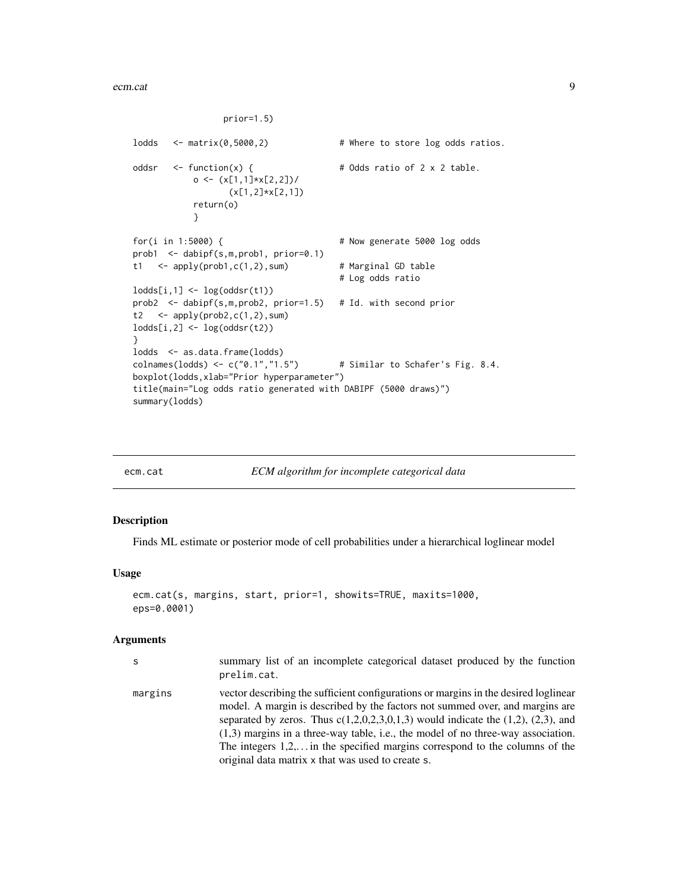```
prior=1.5)
lodds <- matrix(0,5000,2) # Where to store log odds ratios.
oddsr \leftarrow function(x) { \qquad # Odds ratio of 2 x 2 table.
           o <- (x[1,1]*x[2,2])/
                  (x[1,2]*x[2,1])
           return(o)
           }
for(i in 1:5000) { # Now generate 5000 log odds
prob1 <- dabipf(s,m,prob1, prior=0.1)
t1 <- apply(prob1,c(1,2),sum) # Marginal GD table
                                       # Log odds ratio
lodds[i,1] \leftarrow log(oddsr(t1))prob2 <- dabipf(s,m,prob2, prior=1.5) # Id. with second prior
t2 \leftarrow apply(prob2, c(1,2), sum)
lodds[i,2] \leftarrow log(oddsr(t2))}
lodds <- as.data.frame(lodds)
colnames(lodds) <- c("0.1","1.5") \qquad # Similar to Schafer's Fig. 8.4.
boxplot(lodds,xlab="Prior hyperparameter")
title(main="Log odds ratio generated with DABIPF (5000 draws)")
summary(lodds)
```
<span id="page-8-1"></span>

ecm.cat *ECM algorithm for incomplete categorical data*

#### Description

Finds ML estimate or posterior mode of cell probabilities under a hierarchical loglinear model

# Usage

```
ecm.cat(s, margins, start, prior=1, showits=TRUE, maxits=1000,
eps=0.0001)
```
#### Arguments

| S       | summary list of an incomplete categorical dataset produced by the function<br>prelim.cat.                                                                                                                                                                                                                                                                                                                                                                                                   |
|---------|---------------------------------------------------------------------------------------------------------------------------------------------------------------------------------------------------------------------------------------------------------------------------------------------------------------------------------------------------------------------------------------------------------------------------------------------------------------------------------------------|
| margins | vector describing the sufficient configurations or margins in the desired loglinear<br>model. A margin is described by the factors not summed over, and margins are<br>separated by zeros. Thus $c(1,2,0,2,3,0,1,3)$ would indicate the $(1,2)$ , $(2,3)$ , and<br>$(1,3)$ margins in a three-way table, i.e., the model of no three-way association.<br>The integers $1,2,$ in the specified margins correspond to the columns of the<br>original data matrix x that was used to create s. |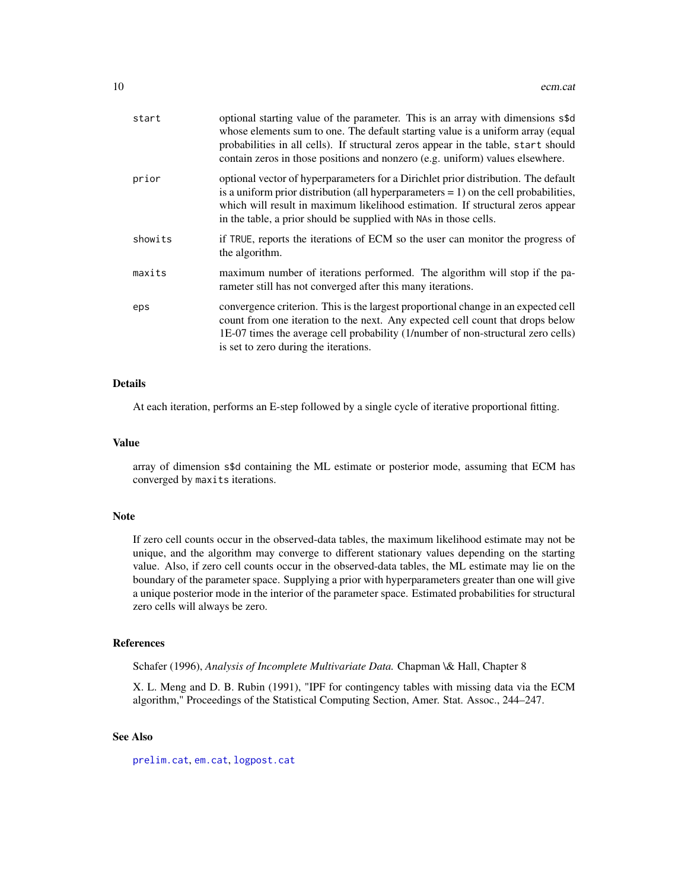<span id="page-9-0"></span>

| start   | optional starting value of the parameter. This is an array with dimensions s\$d<br>whose elements sum to one. The default starting value is a uniform array (equal<br>probabilities in all cells). If structural zeros appear in the table, start should<br>contain zeros in those positions and nonzero (e.g. uniform) values elsewhere. |
|---------|-------------------------------------------------------------------------------------------------------------------------------------------------------------------------------------------------------------------------------------------------------------------------------------------------------------------------------------------|
| prior   | optional vector of hyperparameters for a Dirichlet prior distribution. The default<br>is a uniform prior distribution (all hyperparameters $= 1$ ) on the cell probabilities,<br>which will result in maximum likelihood estimation. If structural zeros appear<br>in the table, a prior should be supplied with NAs in those cells.      |
| showits | if TRUE, reports the iterations of ECM so the user can monitor the progress of<br>the algorithm.                                                                                                                                                                                                                                          |
| maxits  | maximum number of iterations performed. The algorithm will stop if the pa-<br>rameter still has not converged after this many iterations.                                                                                                                                                                                                 |
| eps     | convergence criterion. This is the largest proportional change in an expected cell<br>count from one iteration to the next. Any expected cell count that drops below<br>1E-07 times the average cell probability (1/number of non-structural zero cells)<br>is set to zero during the iterations.                                         |

# Details

At each iteration, performs an E-step followed by a single cycle of iterative proportional fitting.

#### Value

array of dimension s\$d containing the ML estimate or posterior mode, assuming that ECM has converged by maxits iterations.

#### Note

If zero cell counts occur in the observed-data tables, the maximum likelihood estimate may not be unique, and the algorithm may converge to different stationary values depending on the starting value. Also, if zero cell counts occur in the observed-data tables, the ML estimate may lie on the boundary of the parameter space. Supplying a prior with hyperparameters greater than one will give a unique posterior mode in the interior of the parameter space. Estimated probabilities for structural zero cells will always be zero.

#### References

Schafer (1996), *Analysis of Incomplete Multivariate Data.* Chapman \& Hall, Chapter 8

X. L. Meng and D. B. Rubin (1991), "IPF for contingency tables with missing data via the ECM algorithm," Proceedings of the Statistical Computing Section, Amer. Stat. Assoc., 244–247.

# See Also

[prelim.cat](#page-20-1), [em.cat](#page-10-1), [logpost.cat](#page-14-1)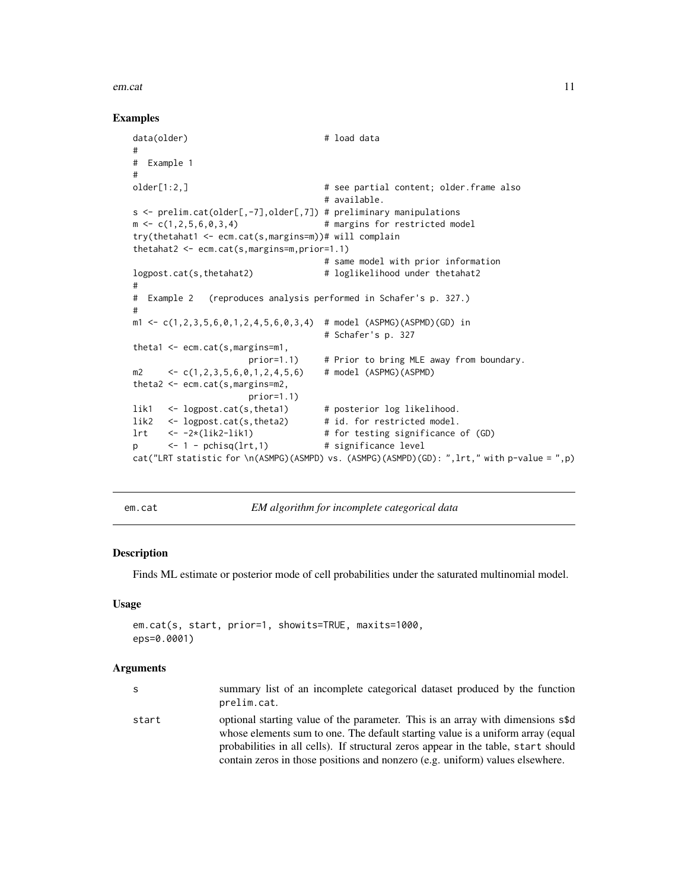#### <span id="page-10-0"></span>em.cat 11

#### Examples

```
data(older) # load data
#
# Example 1
#
older[1:2,] # see partial content; older.frame also
                                  # available.
s <- prelim.cat(older[,-7],older[,7]) # preliminary manipulations
m \leftarrow c(1, 2, 5, 6, 0, 3, 4) # margins for restricted model
try(thetahat1 <- ecm.cat(s,margins=m))# will complain
thetahat2 <- ecm.cat(s,margins=m,prior=1.1)
                                  # same model with prior information
logpost.cat(s,thetahat2) # loglikelihood under thetahat2
#
# Example 2 (reproduces analysis performed in Schafer's p. 327.)
#
m1 \leq c(1, 2, 3, 5, 6, 0, 1, 2, 4, 5, 6, 0, 3, 4) # model (ASPMG)(ASPMD)(GD) in
                                  # Schafer's p. 327
theta1 <- ecm.cat(s,margins=m1,
                     prior=1.1) # Prior to bring MLE away from boundary.
m2 <- c(1,2,3,5,6,0,1,2,4,5,6) # model (ASPMG)(ASPMD)
theta2 <- ecm.cat(s,margins=m2,
                     prior=1.1)
lik1 <- logpost.cat(s,theta1) # posterior log likelihood.
lik2 <- logpost.cat(s,theta2) # id. for restricted model.
lrt <- -2*(lik2-lik1) # for testing significance of (GD)
p <- 1 - pchisq(lrt,1) # significance level
cat("LRT statistic for \n(ASMPG)(ASMPD) vs. (ASMPG)(ASMPD)(GD): ",lrt," with p-value = ",p)
```
<span id="page-10-1"></span>em.cat *EM algorithm for incomplete categorical data*

# Description

Finds ML estimate or posterior mode of cell probabilities under the saturated multinomial model.

#### Usage

```
em.cat(s, start, prior=1, showits=TRUE, maxits=1000,
eps=0.0001)
```
#### Arguments

| S     | summary list of an incomplete categorical dataset produced by the function<br>prelim.cat.                                                                                                                                                                                                                                                 |
|-------|-------------------------------------------------------------------------------------------------------------------------------------------------------------------------------------------------------------------------------------------------------------------------------------------------------------------------------------------|
| start | optional starting value of the parameter. This is an array with dimensions s\$d<br>whose elements sum to one. The default starting value is a uniform array (equal<br>probabilities in all cells). If structural zeros appear in the table, start should<br>contain zeros in those positions and nonzero (e.g. uniform) values elsewhere. |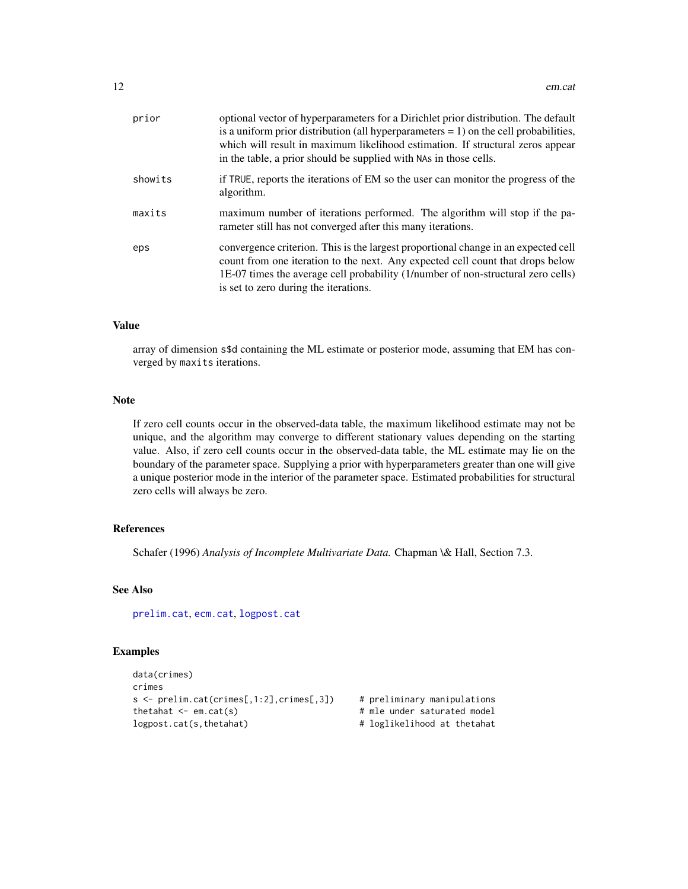<span id="page-11-0"></span>

| prior   | optional vector of hyperparameters for a Dirichlet prior distribution. The default<br>is a uniform prior distribution (all hyperparameters $= 1$ ) on the cell probabilities,<br>which will result in maximum likelihood estimation. If structural zeros appear<br>in the table, a prior should be supplied with NAs in those cells. |
|---------|--------------------------------------------------------------------------------------------------------------------------------------------------------------------------------------------------------------------------------------------------------------------------------------------------------------------------------------|
| showits | if TRUE, reports the iterations of EM so the user can monitor the progress of the<br>algorithm.                                                                                                                                                                                                                                      |
| maxits  | maximum number of iterations performed. The algorithm will stop if the pa-<br>rameter still has not converged after this many iterations.                                                                                                                                                                                            |
| eps     | convergence criterion. This is the largest proportional change in an expected cell<br>count from one iteration to the next. Any expected cell count that drops below<br>1E-07 times the average cell probability (1/number of non-structural zero cells)<br>is set to zero during the iterations.                                    |

# Value

array of dimension s\$d containing the ML estimate or posterior mode, assuming that EM has converged by maxits iterations.

# Note

If zero cell counts occur in the observed-data table, the maximum likelihood estimate may not be unique, and the algorithm may converge to different stationary values depending on the starting value. Also, if zero cell counts occur in the observed-data table, the ML estimate may lie on the boundary of the parameter space. Supplying a prior with hyperparameters greater than one will give a unique posterior mode in the interior of the parameter space. Estimated probabilities for structural zero cells will always be zero.

# References

Schafer (1996) *Analysis of Incomplete Multivariate Data.* Chapman \& Hall, Section 7.3.

#### See Also

[prelim.cat](#page-20-1), [ecm.cat](#page-8-1), [logpost.cat](#page-14-1)

#### Examples

```
data(crimes)
crimes
s <- prelim.cat(crimes[,1:2],crimes[,3]) # preliminary manipulations
thetahat <- em.cat(s) \qquad # mle under saturated model
logpost.cat(s,thetahat) \qquad \qquad \qquad # loglikelihood at thetahat
```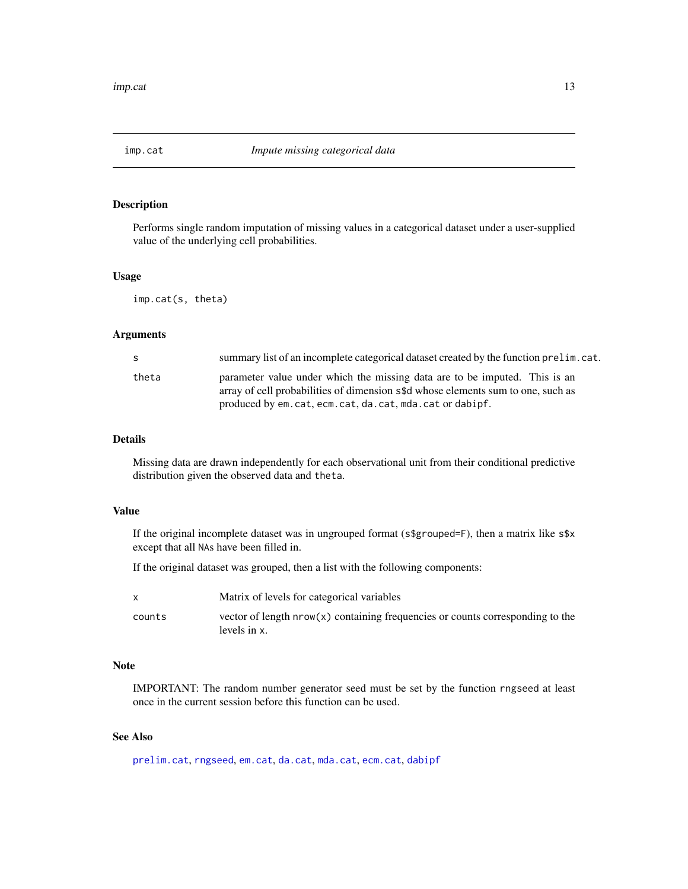<span id="page-12-1"></span><span id="page-12-0"></span>

# Description

Performs single random imputation of missing values in a categorical dataset under a user-supplied value of the underlying cell probabilities.

#### Usage

imp.cat(s, theta)

#### Arguments

| S.    | summary list of an incomplete categorical dataset created by the function prelim. cat.                                                                                                                                 |
|-------|------------------------------------------------------------------------------------------------------------------------------------------------------------------------------------------------------------------------|
| theta | parameter value under which the missing data are to be imputed. This is an<br>array of cell probabilities of dimension s\$d whose elements sum to one, such as<br>produced by em.cat.ecm.cat.da.cat.mda.cat or dabipf. |

# Details

Missing data are drawn independently for each observational unit from their conditional predictive distribution given the observed data and theta.

#### Value

If the original incomplete dataset was in ungrouped format (s\$grouped=F), then a matrix like s\$x except that all NAs have been filled in.

If the original dataset was grouped, then a list with the following components:

|        | Matrix of levels for categorical variables                                                     |
|--------|------------------------------------------------------------------------------------------------|
| counts | vector of length nrow(x) containing frequencies or counts corresponding to the<br>levels in x. |

# Note

IMPORTANT: The random number generator seed must be set by the function rngseed at least once in the current session before this function can be used.

# See Also

[prelim.cat](#page-20-1), [rngseed](#page-21-1), [em.cat](#page-10-1), [da.cat](#page-4-1), [mda.cat](#page-15-1), [ecm.cat](#page-8-1), [dabipf](#page-5-1)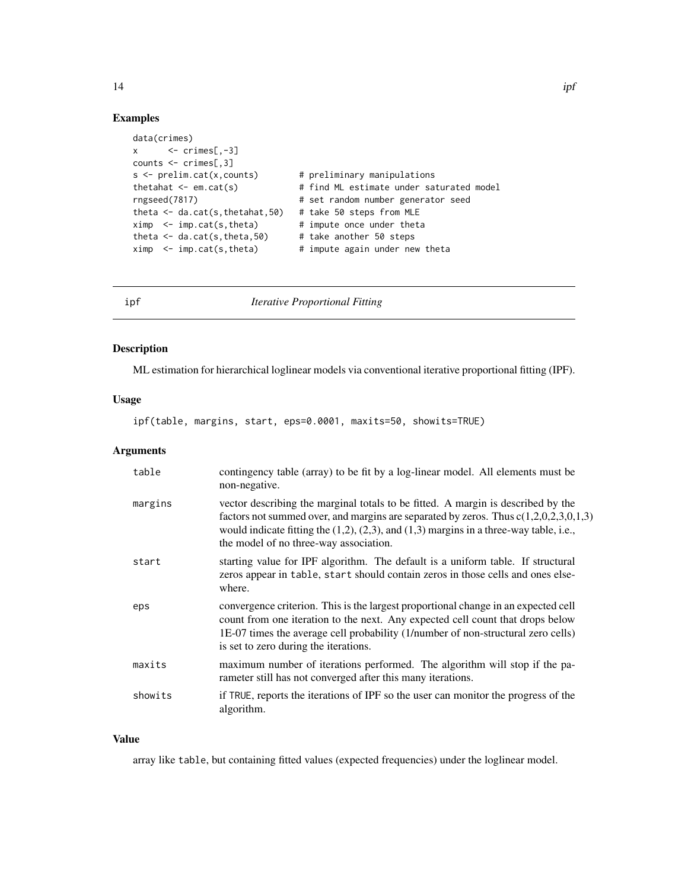# Examples

```
data(crimes)
x \leftarrow \text{crimes}[, -3]counts <- crimes[,3]
s <- prelim.cat(x,counts) # preliminary manipulations
thetahat \leq em.cat(s) \qquad # find ML estimate under saturated model
rngseed(7817) # set random number generator seed
theta <- da.cat(s,thetahat,50) # take 50 steps from MLE
ximp < - imp.cat(s,theta) # impute once under theta
theta \langle -\ln p, \frac{1}{2}, \frac{1}{2}, \frac{1}{2}\rangle # take another 50 steps
ximp < - imp.cat(s, theta) # impute again under new theta
```
<span id="page-13-1"></span>ipf *Iterative Proportional Fitting*

#### Description

ML estimation for hierarchical loglinear models via conventional iterative proportional fitting (IPF).

#### Usage

ipf(table, margins, start, eps=0.0001, maxits=50, showits=TRUE)

# Arguments

| table   | contingency table (array) to be fit by a log-linear model. All elements must be<br>non-negative.                                                                                                                                                                                                                       |
|---------|------------------------------------------------------------------------------------------------------------------------------------------------------------------------------------------------------------------------------------------------------------------------------------------------------------------------|
| margins | vector describing the marginal totals to be fitted. A margin is described by the<br>factors not summed over, and margins are separated by zeros. Thus $c(1,2,0,2,3,0,1,3)$<br>would indicate fitting the $(1,2)$ , $(2,3)$ , and $(1,3)$ margins in a three-way table, i.e.,<br>the model of no three-way association. |
| start   | starting value for IPF algorithm. The default is a uniform table. If structural<br>zeros appear in table, start should contain zeros in those cells and ones else-<br>where.                                                                                                                                           |
| eps     | convergence criterion. This is the largest proportional change in an expected cell<br>count from one iteration to the next. Any expected cell count that drops below<br>1E-07 times the average cell probability (1/number of non-structural zero cells)<br>is set to zero during the iterations.                      |
| maxits  | maximum number of iterations performed. The algorithm will stop if the pa-<br>rameter still has not converged after this many iterations.                                                                                                                                                                              |
| showits | if TRUE, reports the iterations of IPF so the user can monitor the progress of the<br>algorithm.                                                                                                                                                                                                                       |

# Value

array like table, but containing fitted values (expected frequencies) under the loglinear model.

<span id="page-13-0"></span>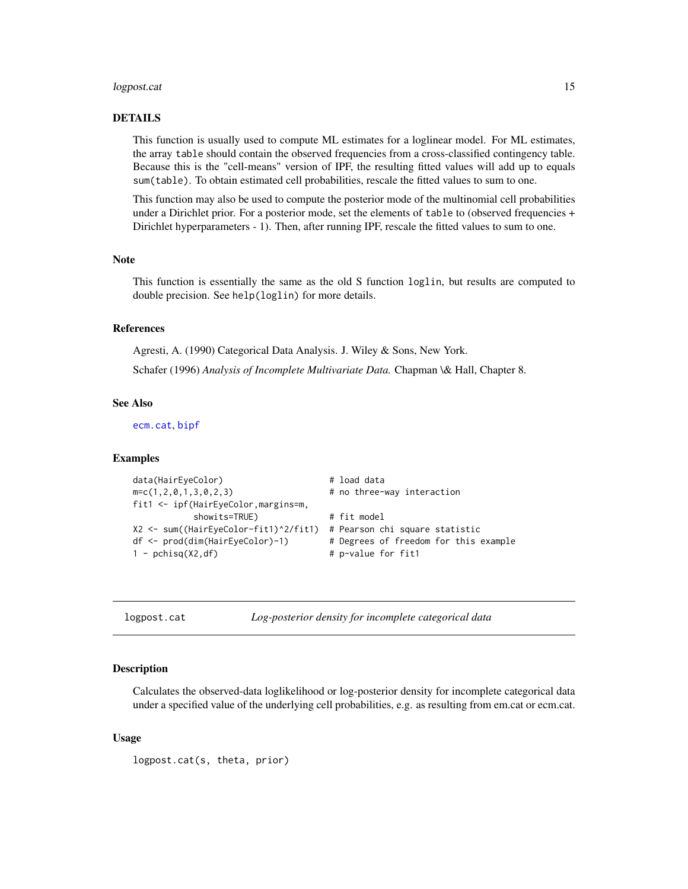#### <span id="page-14-0"></span>logpost.cat 15

# DETAILS

This function is usually used to compute ML estimates for a loglinear model. For ML estimates, the array table should contain the observed frequencies from a cross-classified contingency table. Because this is the "cell-means" version of IPF, the resulting fitted values will add up to equals sum(table). To obtain estimated cell probabilities, rescale the fitted values to sum to one.

This function may also be used to compute the posterior mode of the multinomial cell probabilities under a Dirichlet prior. For a posterior mode, set the elements of table to (observed frequencies + Dirichlet hyperparameters - 1). Then, after running IPF, rescale the fitted values to sum to one.

#### Note

This function is essentially the same as the old S function loglin, but results are computed to double precision. See help(loglin) for more details.

#### References

Agresti, A. (1990) Categorical Data Analysis. J. Wiley & Sons, New York.

Schafer (1996) *Analysis of Incomplete Multivariate Data.* Chapman \& Hall, Chapter 8.

#### See Also

[ecm.cat](#page-8-1), [bipf](#page-2-1)

#### Examples

```
data(HairEyeColor) # load data
m=c(1,2,0,1,3,0,2,3) # no three-way interaction
fit1 <- ipf(HairEyeColor,margins=m,
         showits=TRUE) # fit model
X2 <- sum((HairEyeColor-fit1)^2/fit1) # Pearson chi square statistic
df <- prod(dim(HairEyeColor)-1) # Degrees of freedom for this example
1 - pchisq(X2,df) \qquad # p-value for fit1
```
<span id="page-14-1"></span>logpost.cat *Log-posterior density for incomplete categorical data*

#### **Description**

Calculates the observed-data loglikelihood or log-posterior density for incomplete categorical data under a specified value of the underlying cell probabilities, e.g. as resulting from em.cat or ecm.cat.

#### Usage

logpost.cat(s, theta, prior)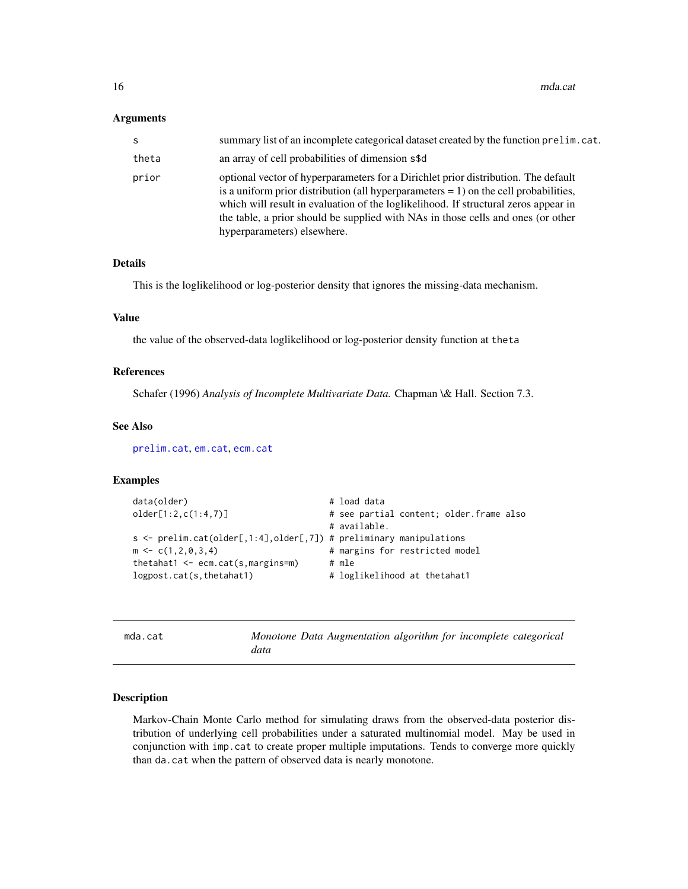<span id="page-15-0"></span>16 mda.cat

#### Arguments

| S.    | summary list of an incomplete categorical dataset created by the function prelim. cat.                                                                                                                                                                                                                                                                                                  |
|-------|-----------------------------------------------------------------------------------------------------------------------------------------------------------------------------------------------------------------------------------------------------------------------------------------------------------------------------------------------------------------------------------------|
| theta | an array of cell probabilities of dimension s\$d                                                                                                                                                                                                                                                                                                                                        |
| prior | optional vector of hyperparameters for a Dirichlet prior distribution. The default<br>is a uniform prior distribution (all hyperparameters $= 1$ ) on the cell probabilities,<br>which will result in evaluation of the loglikelihood. If structural zeros appear in<br>the table, a prior should be supplied with NAs in those cells and ones (or other<br>hyperparameters) elsewhere. |

#### Details

This is the loglikelihood or log-posterior density that ignores the missing-data mechanism.

# Value

the value of the observed-data loglikelihood or log-posterior density function at theta

# References

Schafer (1996) *Analysis of Incomplete Multivariate Data.* Chapman \& Hall. Section 7.3.

#### See Also

[prelim.cat](#page-20-1), [em.cat](#page-10-1), [ecm.cat](#page-8-1)

# Examples

| data(older)                                                        | # load data                             |
|--------------------------------------------------------------------|-----------------------------------------|
| older[1:2, c(1:4,7)]                                               | # see partial content; older.frame also |
|                                                                    | # available.                            |
| s <- prelim.cat(older[,1:4],older[,7]) # preliminary manipulations |                                         |
| $m \leq c(1, 2, 0, 3, 4)$                                          | # margins for restricted model          |
| thetahat1 $\leq$ ecm.cat(s, margins=m)                             | # mle                                   |
| logpost.cat(s, the tahat1)                                         | # loglikelihood at thetahat1            |

<span id="page-15-1"></span>

| mda.cat |      | Monotone Data Augmentation algorithm for incomplete categorical |  |  |  |
|---------|------|-----------------------------------------------------------------|--|--|--|
|         | data |                                                                 |  |  |  |

# Description

Markov-Chain Monte Carlo method for simulating draws from the observed-data posterior distribution of underlying cell probabilities under a saturated multinomial model. May be used in conjunction with imp.cat to create proper multiple imputations. Tends to converge more quickly than da.cat when the pattern of observed data is nearly monotone.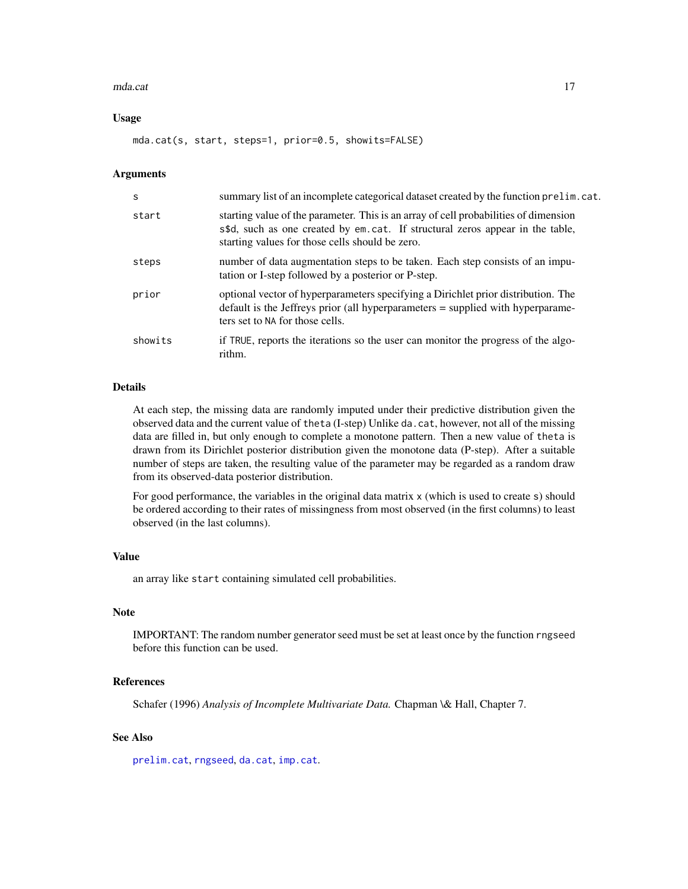#### <span id="page-16-0"></span>mda.cat 17

#### Usage

mda.cat(s, start, steps=1, prior=0.5, showits=FALSE)

#### Arguments

| s       | summary list of an incomplete categorical dataset created by the function prelim. cat.                                                                                                                                   |
|---------|--------------------------------------------------------------------------------------------------------------------------------------------------------------------------------------------------------------------------|
| start   | starting value of the parameter. This is an array of cell probabilities of dimension<br>s\$d, such as one created by em.cat. If structural zeros appear in the table,<br>starting values for those cells should be zero. |
| steps   | number of data augmentation steps to be taken. Each step consists of an impu-<br>tation or I-step followed by a posterior or P-step.                                                                                     |
| prior   | optional vector of hyperparameters specifying a Dirichlet prior distribution. The<br>default is the Jeffreys prior (all hyperparameters = supplied with hyperparame-<br>ters set to NA for those cells.                  |
| showits | if TRUE, reports the iterations so the user can monitor the progress of the algo-<br>rithm.                                                                                                                              |

# Details

At each step, the missing data are randomly imputed under their predictive distribution given the observed data and the current value of theta (I-step) Unlike da.cat, however, not all of the missing data are filled in, but only enough to complete a monotone pattern. Then a new value of theta is drawn from its Dirichlet posterior distribution given the monotone data (P-step). After a suitable number of steps are taken, the resulting value of the parameter may be regarded as a random draw from its observed-data posterior distribution.

For good performance, the variables in the original data matrix x (which is used to create s) should be ordered according to their rates of missingness from most observed (in the first columns) to least observed (in the last columns).

# Value

an array like start containing simulated cell probabilities.

#### Note

IMPORTANT: The random number generator seed must be set at least once by the function rngseed before this function can be used.

#### References

Schafer (1996) *Analysis of Incomplete Multivariate Data.* Chapman \& Hall, Chapter 7.

# See Also

[prelim.cat](#page-20-1), [rngseed](#page-21-1), [da.cat](#page-4-1), [imp.cat](#page-12-1).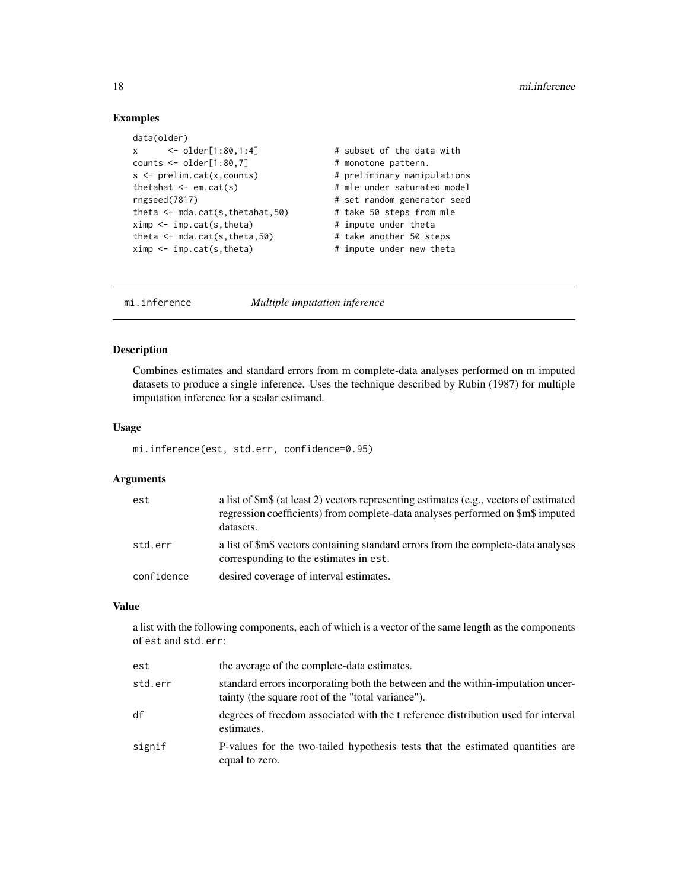# Examples

```
data(older)
x <- older[1:80,1:4] # subset of the data with
counts <- older[1:80,7] # monotone pattern.
s \le prelim.cat(x,counts) \qquad # preliminary manipulations
thetahat \leq em.cat(s) \qquad # mle under saturated model
rngseed(7817) # set random generator seed
theta <- mda.cat(s,thetahat,50) # take 50 steps from mle<br>ximp <- imp.cat(s,theta) # impute under theta
ximp \leftarrow imp.cat(s,theta)theta \leq mda.cat(s, theta, 50) \qquad # take another 50 steps
ximp < -imp.cat(s, theta) # impute under new theta
```
mi.inference *Multiple imputation inference*

#### Description

Combines estimates and standard errors from m complete-data analyses performed on m imputed datasets to produce a single inference. Uses the technique described by Rubin (1987) for multiple imputation inference for a scalar estimand.

#### Usage

mi.inference(est, std.err, confidence=0.95)

#### Arguments

| est        | a list of \$m\$ (at least 2) vectors representing estimates (e.g., vectors of estimated<br>regression coefficients) from complete-data analyses performed on \$m\$ imputed<br>datasets. |
|------------|-----------------------------------------------------------------------------------------------------------------------------------------------------------------------------------------|
| std.err    | a list of \$m\$ vectors containing standard errors from the complete-data analyses<br>corresponding to the estimates in est.                                                            |
| confidence | desired coverage of interval estimates.                                                                                                                                                 |

#### Value

a list with the following components, each of which is a vector of the same length as the components of est and std.err:

| est     | the average of the complete-data estimates.                                                                                          |
|---------|--------------------------------------------------------------------------------------------------------------------------------------|
| std.err | standard errors incorporating both the between and the within-imputation uncer-<br>tainty (the square root of the "total variance"). |
| df      | degrees of freedom associated with the t reference distribution used for interval<br>estimates.                                      |
| signif  | P-values for the two-tailed hypothesis tests that the estimated quantities are<br>equal to zero.                                     |

<span id="page-17-0"></span>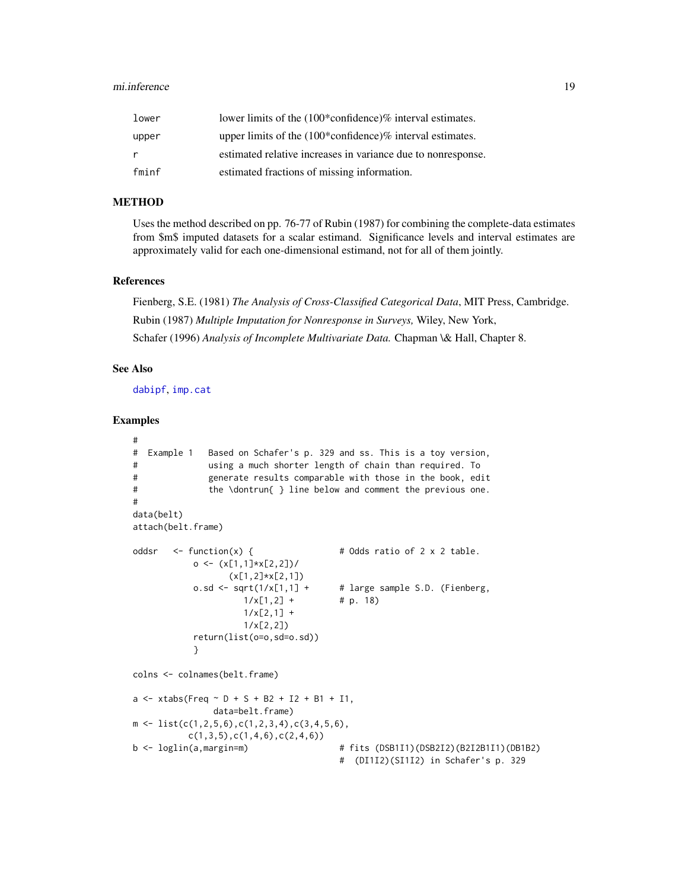#### <span id="page-18-0"></span>mi.inference 19

| lower | lower limits of the $(100*$ confidence)% interval estimates. |
|-------|--------------------------------------------------------------|
| upper | upper limits of the $(100*$ confidence)% interval estimates. |
| r     | estimated relative increases in variance due to nonresponse. |
| fminf | estimated fractions of missing information.                  |

# **METHOD**

Uses the method described on pp. 76-77 of Rubin (1987) for combining the complete-data estimates from \$m\$ imputed datasets for a scalar estimand. Significance levels and interval estimates are approximately valid for each one-dimensional estimand, not for all of them jointly.

#### References

Fienberg, S.E. (1981) *The Analysis of Cross-Classified Categorical Data*, MIT Press, Cambridge. Rubin (1987) *Multiple Imputation for Nonresponse in Surveys,* Wiley, New York, Schafer (1996) *Analysis of Incomplete Multivariate Data.* Chapman \& Hall, Chapter 8.

# See Also

[dabipf](#page-5-1), [imp.cat](#page-12-1)

#### Examples

```
#
# Example 1 Based on Schafer's p. 329 and ss. This is a toy version,
# using a much shorter length of chain than required. To
# generate results comparable with those in the book, edit
# the \dontrun{ } line below and comment the previous one.
#
data(belt)
attach(belt.frame)
oddsr \leq function(x) { \qquad # Odds ratio of 2 x 2 table.
           o \leftarrow (x[1,1]*x[2,2])/
                  (x[1,2]*x[2,1])o.sd \le sqrt(1/x[1,1] + # large sample S.D. (Fienberg,
                     1/x[1,2] + # p. 18)
                     1/x[2,1] +
                     1/x[2,2])
           return(list(o=o,sd=o.sd))
           }
colns <- colnames(belt.frame)
a \le -x \times \text{tabs} (Freq \sim D + S + B2 + I2 + B1 + I1,
               data=belt.frame)
m \leftarrow \text{list}(c(1, 2, 5, 6), c(1, 2, 3, 4), c(3, 4, 5, 6),c(1,3,5),c(1,4,6),c(2,4,6))b <- loglin(a,margin=m) # fits (DSB1I1)(DSB2I2)(B2I2B1I1)(DB1B2)
                                        # (DI1I2)(SI1I2) in Schafer's p. 329
```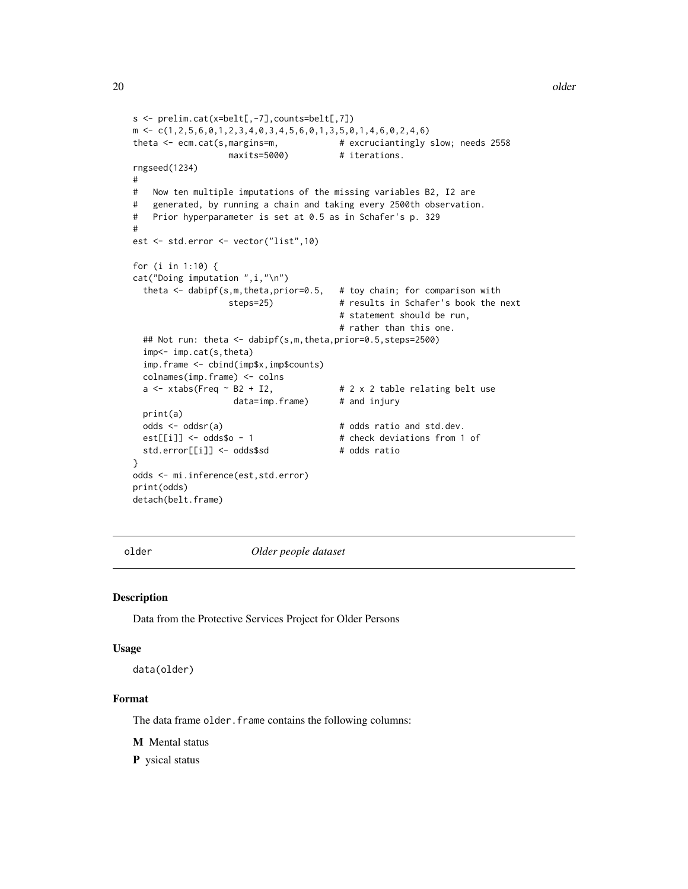```
s <- prelim.cat(x=belt[,-7],counts=belt[,7])
m \leftarrow c(1, 2, 5, 6, 0, 1, 2, 3, 4, 0, 3, 4, 5, 6, 0, 1, 3, 5, 0, 1, 4, 6, 0, 2, 4, 6)theta <- ecm.cat(s,margins=m, \qquad # excruciantingly slow; needs 2558
                  maxits=5000) # iterations.
rngseed(1234)
#
# Now ten multiple imputations of the missing variables B2, I2 are
# generated, by running a chain and taking every 2500th observation.
# Prior hyperparameter is set at 0.5 as in Schafer's p. 329
#
est <- std.error <- vector("list",10)
for (i in 1:10) {
cat("Doing imputation ",i,"\n")
 theta \leq dabipf(s,m,theta,prior=0.5, # toy chain; for comparison with
                  steps=25) # results in Schafer's book the next
                                       # statement should be run,
                                        # rather than this one.
 ## Not run: theta <- dabipf(s,m,theta,prior=0.5,steps=2500)
 imp<- imp.cat(s,theta)
 imp.frame <- cbind(imp$x,imp$counts)
 colnames(imp.frame) <- colns
 a \le xtabs(Freq \sim B2 + I2, \qquad # 2 x 2 table relating belt use
                   data=imp.frame) # and injury
 print(a)
 odds <- oddsr(a) \qquad # odds ratio and std.dev.
 est[[i]] \leftarrow odds\odds\$o - 1 # check deviations from 1 of
 std.error[[i]] <- odds$sd # odds ratio
}
odds <- mi.inference(est,std.error)
print(odds)
detach(belt.frame)
```
older *Older people dataset*

#### Description

Data from the Protective Services Project for Older Persons

#### Usage

data(older)

#### Format

The data frame older. frame contains the following columns:

M Mental status

P ysical status

<span id="page-19-0"></span>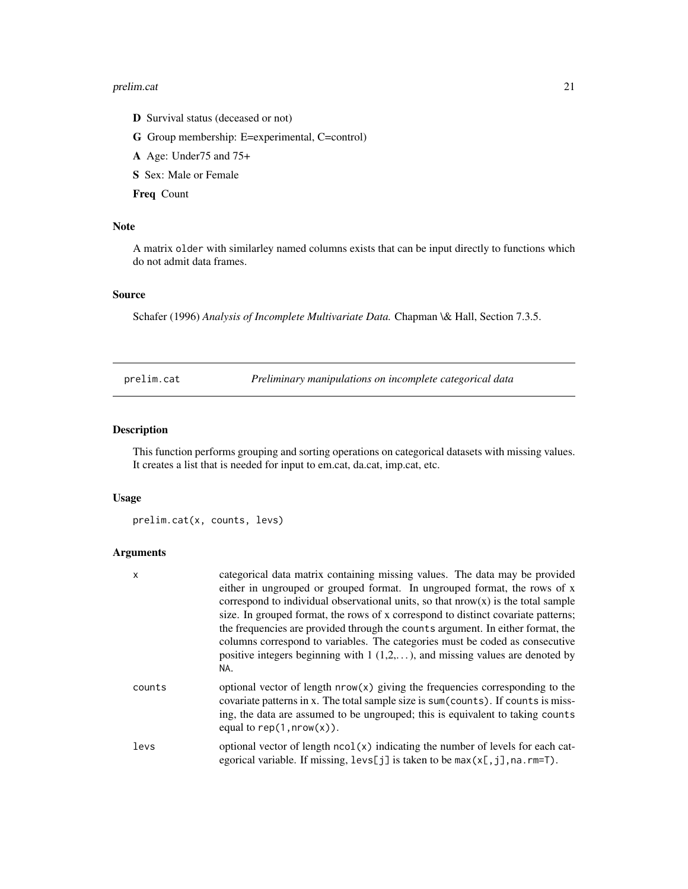#### <span id="page-20-0"></span>prelim.cat 21

- D Survival status (deceased or not)
- G Group membership: E=experimental, C=control)
- A Age: Under75 and 75+
- S Sex: Male or Female

Freq Count

# Note

A matrix older with similarley named columns exists that can be input directly to functions which do not admit data frames.

# Source

Schafer (1996) *Analysis of Incomplete Multivariate Data.* Chapman \& Hall, Section 7.3.5.

<span id="page-20-1"></span>prelim.cat *Preliminary manipulations on incomplete categorical data*

# Description

This function performs grouping and sorting operations on categorical datasets with missing values. It creates a list that is needed for input to em.cat, da.cat, imp.cat, etc.

#### Usage

```
prelim.cat(x, counts, levs)
```
# Arguments

| x      | categorical data matrix containing missing values. The data may be provided<br>either in ungrouped or grouped format. In ungrouped format, the rows of x<br>correspond to individual observational units, so that $nrow(x)$ is the total sample<br>size. In grouped format, the rows of x correspond to distinct covariate patterns;<br>the frequencies are provided through the counts argument. In either format, the<br>columns correspond to variables. The categories must be coded as consecutive<br>positive integers beginning with $1 (1, 2, )$ , and missing values are denoted by<br>NA. |
|--------|-----------------------------------------------------------------------------------------------------------------------------------------------------------------------------------------------------------------------------------------------------------------------------------------------------------------------------------------------------------------------------------------------------------------------------------------------------------------------------------------------------------------------------------------------------------------------------------------------------|
| counts | optional vector of length $nrow(x)$ giving the frequencies corresponding to the<br>covariate patterns in x. The total sample size is sum (counts). If counts is miss-<br>ing, the data are assumed to be ungrouped; this is equivalent to taking counts<br>equal to rep $(1, nrow(x))$ .                                                                                                                                                                                                                                                                                                            |
| levs   | optional vector of length ncol(x) indicating the number of levels for each cat-<br>egorical variable. If missing, $l$ evs[j] is taken to be max(x[,j], na. rm=T).                                                                                                                                                                                                                                                                                                                                                                                                                                   |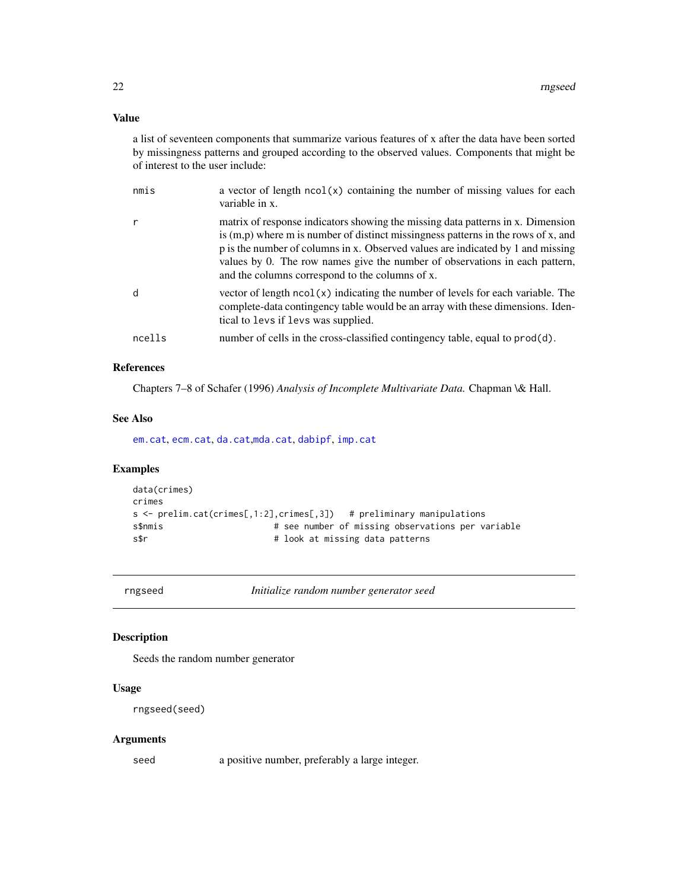# <span id="page-21-0"></span>Value

a list of seventeen components that summarize various features of x after the data have been sorted by missingness patterns and grouped according to the observed values. Components that might be of interest to the user include:

| nmis   | a vector of length $ncol(x)$ containing the number of missing values for each<br>variable in x.                                                                                                                                                                                                                                                                                             |
|--------|---------------------------------------------------------------------------------------------------------------------------------------------------------------------------------------------------------------------------------------------------------------------------------------------------------------------------------------------------------------------------------------------|
| r      | matrix of response indicators showing the missing data patterns in x. Dimension<br>is $(m,p)$ where m is number of distinct missingness patterns in the rows of x, and<br>p is the number of columns in x. Observed values are indicated by 1 and missing<br>values by 0. The row names give the number of observations in each pattern,<br>and the columns correspond to the columns of x. |
| d      | vector of length $ncol(x)$ indicating the number of levels for each variable. The<br>complete-data contingency table would be an array with these dimensions. Iden-<br>tical to levs if levs was supplied.                                                                                                                                                                                  |
| ncells | number of cells in the cross-classified contingency table, equal to prod(d).                                                                                                                                                                                                                                                                                                                |

# References

Chapters 7–8 of Schafer (1996) *Analysis of Incomplete Multivariate Data.* Chapman \& Hall.

#### See Also

[em.cat](#page-10-1), [ecm.cat](#page-8-1), [da.cat](#page-4-1),[mda.cat](#page-15-1), [dabipf](#page-5-1), [imp.cat](#page-12-1)

# Examples

```
data(crimes)
crimes
s <- prelim.cat(crimes[,1:2],crimes[,3]) # preliminary manipulations
s$nmis # see number of missing observations per variable
s$r # look at missing data patterns
```
<span id="page-21-1"></span>rngseed *Initialize random number generator seed*

# Description

Seeds the random number generator

#### Usage

```
rngseed(seed)
```
#### Arguments

seed a positive number, preferably a large integer.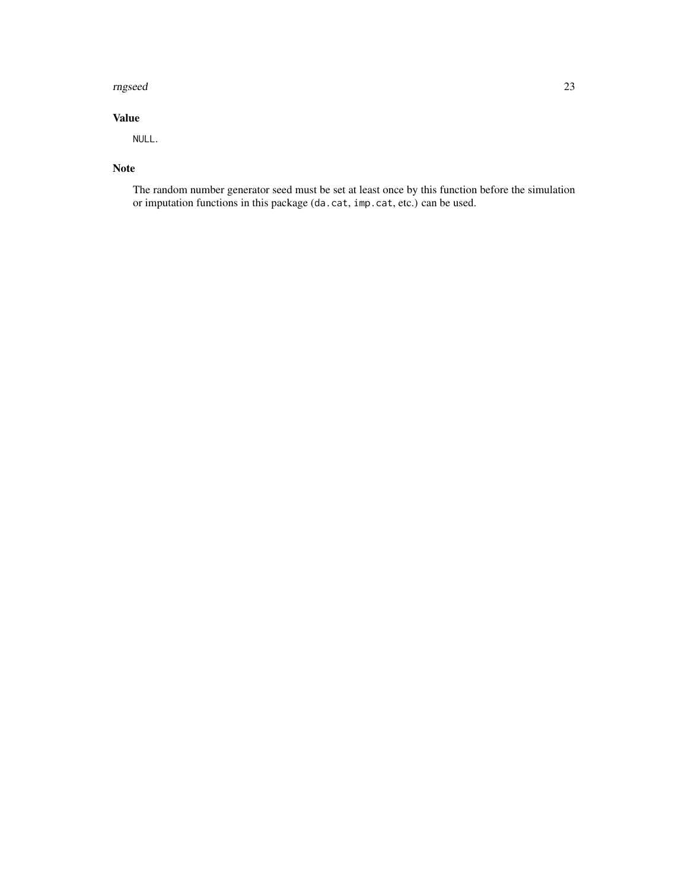#### rngseed 23

# Value

NULL.

# Note

The random number generator seed must be set at least once by this function before the simulation or imputation functions in this package (da.cat, imp.cat, etc.) can be used.